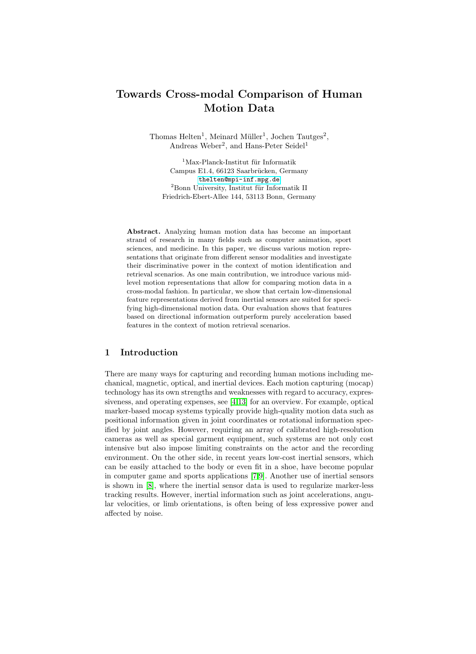# Towards Cross-modal Comparison of Human Motion Data

Thomas Helten<sup>1</sup>, Meinard Müller<sup>1</sup>, Jochen Tautges<sup>2</sup>, Andreas Weber<sup>2</sup>, and Hans-Peter Seidel<sup>1</sup>

 $1$ Max-Planck-Institut für Informatik Campus E1.4, 66123 Saarbrücken, Germany [thelten@mpi-inf.mpg.de](mailto:thelten@mpi-inf.mpg.de)  $2$ Bonn University, Institut für Informatik II Friedrich-Ebert-Allee 144, 53113 Bonn, Germany

Abstract. Analyzing human motion data has become an important strand of research in many fields such as computer animation, sport sciences, and medicine. In this paper, we discuss various motion representations that originate from different sensor modalities and investigate their discriminative power in the context of motion identification and retrieval scenarios. As one main contribution, we introduce various midlevel motion representations that allow for comparing motion data in a cross-modal fashion. In particular, we show that certain low-dimensional feature representations derived from inertial sensors are suited for specifying high-dimensional motion data. Our evaluation shows that features based on directional information outperform purely acceleration based features in the context of motion retrieval scenarios.

# 1 Introduction

There are many ways for capturing and recording human motions including mechanical, magnetic, optical, and inertial devices. Each motion capturing (mocap) technology has its own strengths and weaknesses with regard to accuracy, expressiveness, and operating expenses, see [\[4](#page-9-0)[,13\]](#page-9-1) for an overview. For example, optical marker-based mocap systems typically provide high-quality motion data such as positional information given in joint coordinates or rotational information specified by joint angles. However, requiring an array of calibrated high-resolution cameras as well as special garment equipment, such systems are not only cost intensive but also impose limiting constraints on the actor and the recording environment. On the other side, in recent years low-cost inertial sensors, which can be easily attached to the body or even fit in a shoe, have become popular in computer game and sports applications [\[7](#page-9-2)[,9\]](#page-9-3). Another use of inertial sensors is shown in [\[8\]](#page-9-4), where the inertial sensor data is used to regularize marker-less tracking results. However, inertial information such as joint accelerations, angular velocities, or limb orientations, is often being of less expressive power and affected by noise.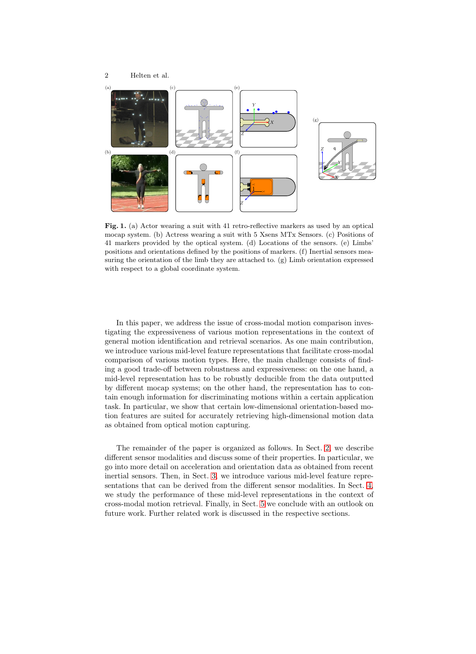

<span id="page-1-0"></span>b positions and orientations defined by the positions of markers. (f) Inertial sensors mea-Fig. 1. (a) Actor wearing a suit with 41 retro-reflective markers as used by an optical b suring the orientation of the limb they are attached to. (g) Limb orientation expressed with respect to a global coordinate system. b 41 markers provided by the optical system. (d) Locations of the sensors. (e) Limbs' mocap system. (b) Actress wearing a suit with 5 Xsens MTx Sensors. (c) Positions of

In this paper, we address the issue of cross-modal motion comparison investigating the expressiveness of various motion representations in the context of general motion identification and retrieval scenarios. As one main contribution, we introduce various mid-level feature representations that facilitate cross-modal comparison of various motion types. Here, the main challenge consists of finding a good trade-off between robustness and expressiveness: on the one hand, a mid-level representation has to be robustly deducible from the data outputted by different mocap systems; on the other hand, the representation has to contain enough information for discriminating motions within a certain application task. In particular, we show that certain low-dimensional orientation-based motion features are suited for accurately retrieving high-dimensional motion data as obtained from optical motion capturing.

The remainder of the paper is organized as follows. In Sect. [2,](#page-2-0) we describe different sensor modalities and discuss some of their properties. In particular, we go into more detail on acceleration and orientation data as obtained from recent inertial sensors. Then, in Sect. [3,](#page-3-0) we introduce various mid-level feature representations that can be derived from the different sensor modalities. In Sect. [4,](#page-6-0) we study the performance of these mid-level representations in the context of cross-modal motion retrieval. Finally, in Sect. [5](#page-8-0) we conclude with an outlook on future work. Further related work is discussed in the respective sections.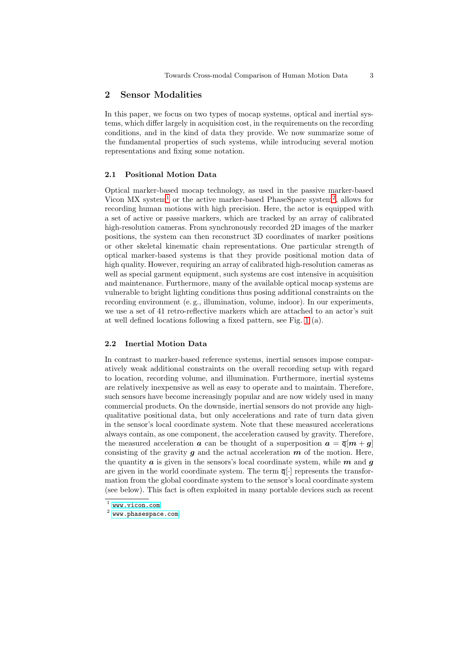# <span id="page-2-0"></span>2 Sensor Modalities

In this paper, we focus on two types of mocap systems, optical and inertial systems, which differ largely in acquisition cost, in the requirements on the recording conditions, and in the kind of data they provide. We now summarize some of the fundamental properties of such systems, while introducing several motion representations and fixing some notation.

#### 2.1 Positional Motion Data

Optical marker-based mocap technology, as used in the passive marker-based Vicon MX system<sup>[1](#page-2-1)</sup> or the active marker-based PhaseSpace system<sup>[2](#page-2-2)</sup>, allows for recording human motions with high precision. Here, the actor is equipped with a set of active or passive markers, which are tracked by an array of calibrated high-resolution cameras. From synchronously recorded 2D images of the marker positions, the system can then reconstruct 3D coordinates of marker positions or other skeletal kinematic chain representations. One particular strength of optical marker-based systems is that they provide positional motion data of high quality. However, requiring an array of calibrated high-resolution cameras as well as special garment equipment, such systems are cost intensive in acquisition and maintenance. Furthermore, many of the available optical mocap systems are vulnerable to bright lighting conditions thus posing additional constraints on the recording environment (e. g., illumination, volume, indoor). In our experiments, we use a set of 41 retro-reflective markers which are attached to an actor's suit at well defined locations following a fixed pattern, see Fig. [1](#page-1-0) (a).

## <span id="page-2-3"></span>2.2 Inertial Motion Data

In contrast to marker-based reference systems, inertial sensors impose comparatively weak additional constraints on the overall recording setup with regard to location, recording volume, and illumination. Furthermore, inertial systems are relatively inexpensive as well as easy to operate and to maintain. Therefore, such sensors have become increasingly popular and are now widely used in many commercial products. On the downside, inertial sensors do not provide any highqualitative positional data, but only accelerations and rate of turn data given in the sensor's local coordinate system. Note that these measured accelerations always contain, as one component, the acceleration caused by gravity. Therefore, the measured acceleration **a** can be thought of a superposition  $a = \overline{q}[m + g]$ consisting of the gravity  $q$  and the actual acceleration  $m$  of the motion. Here, the quantity  $\boldsymbol{a}$  is given in the sensors's local coordinate system, while  $\boldsymbol{m}$  and  $\boldsymbol{q}$ are given in the world coordinate system. The term  $\overline{\mathfrak{q}}[\cdot]$  represents the transformation from the global coordinate system to the sensor's local coordinate system (see below). This fact is often exploited in many portable devices such as recent

 $^{1}$  <www.vicon.com>

<span id="page-2-2"></span><span id="page-2-1"></span> $^2$  <www.phasespace.com>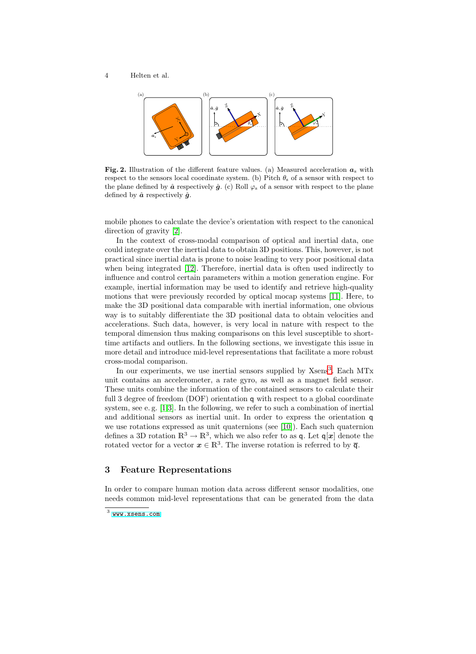

<span id="page-3-2"></span>Fig. 2. Illustration of the different feature values. (a) Measured acceleration  $a_s$  with respect to the sensors local coordinate system. (b) Pitch  $\theta_s$  of a sensor with respect to the plane defined by  $\hat{a}$  respectively  $\hat{g}$ . (c) Roll  $\varphi_s$  of a sensor with respect to the plane defined by  $\hat{a}$  respectively  $\hat{g}$ .

mobile phones to calculate the device's orientation with respect to the canonical direction of gravity [\[2\]](#page-9-5).

In the context of cross-modal comparison of optical and inertial data, one could integrate over the inertial data to obtain 3D positions. This, however, is not practical since inertial data is prone to noise leading to very poor positional data when being integrated [\[12\]](#page-9-6). Therefore, inertial data is often used indirectly to influence and control certain parameters within a motion generation engine. For example, inertial information may be used to identify and retrieve high-quality motions that were previously recorded by optical mocap systems [\[11\]](#page-9-7). Here, to make the 3D positional data comparable with inertial information, one obvious way is to suitably differentiate the 3D positional data to obtain velocities and accelerations. Such data, however, is very local in nature with respect to the temporal dimension thus making comparisons on this level susceptible to shorttime artifacts and outliers. In the following sections, we investigate this issue in more detail and introduce mid-level representations that facilitate a more robust cross-modal comparison.

In our experiments, we use inertial sensors supplied by Xsens<sup>[3](#page-3-1)</sup>. Each MTx unit contains an accelerometer, a rate gyro, as well as a magnet field sensor. These units combine the information of the contained sensors to calculate their full 3 degree of freedom (DOF) orientation q with respect to a global coordinate system, see e. g. [\[1](#page-9-8)[,3\]](#page-9-9). In the following, we refer to such a combination of inertial and additional sensors as inertial unit. In order to express the orientation q we use rotations expressed as unit quaternions (see [\[10\]](#page-9-10)). Each such quaternion defines a 3D rotation  $\mathbb{R}^3 \to \mathbb{R}^3$ , which we also refer to as q. Let q[x] denote the rotated vector for a vector  $x \in \mathbb{R}^3$ . The inverse rotation is referred to by  $\overline{q}$ .

# <span id="page-3-0"></span>3 Feature Representations

In order to compare human motion data across different sensor modalities, one needs common mid-level representations that can be generated from the data

<span id="page-3-1"></span> $^3$  <www.xsens.com>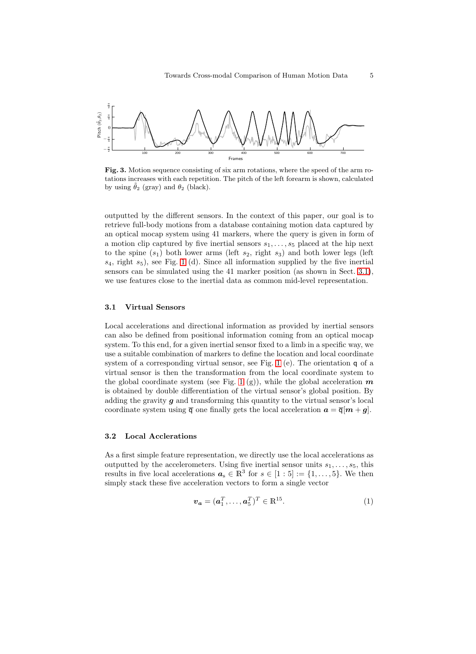

<span id="page-4-1"></span>Fig. 3. Motion sequence consisting of six arm rotations, where the speed of the arm rotations increases with each repetition. The pitch of the left forearm is shown, calculated by using  $\tilde{\theta}_2$  (gray) and  $\theta_2$  (black).

outputted by the different sensors. In the context of this paper, our goal is to retrieve full-body motions from a database containing motion data captured by an optical mocap system using 41 markers, where the query is given in form of a motion clip captured by five inertial sensors  $s_1, \ldots, s_5$  placed at the hip next to the spine  $(s_1)$  both lower arms (left  $s_2$ , right  $s_3$ ) and both lower legs (left  $s_4$ , right  $s_5$ ), see Fig. [1](#page-1-0) (d). Since all information supplied by the five inertial sensors can be simulated using the 41 marker position (as shown in Sect. [3.1\)](#page-4-0), we use features close to the inertial data as common mid-level representation.

### <span id="page-4-0"></span>3.1 Virtual Sensors

Local accelerations and directional information as provided by inertial sensors can also be defined from positional information coming from an optical mocap system. To this end, for a given inertial sensor fixed to a limb in a specific way, we use a suitable combination of markers to define the location and local coordinate system of a corresponding virtual sensor, see Fig. [1](#page-1-0) (e). The orientation q of a virtual sensor is then the transformation from the local coordinate system to the global coordinate system (see Fig. [1](#page-1-0) (g)), while the global acceleration  $m$ is obtained by double differentiation of the virtual sensor's global position. By adding the gravity  $g$  and transforming this quantity to the virtual sensor's local coordinate system using  $\overline{q}$  one finally gets the local acceleration  $a = \overline{q}[m + g]$ .

## 3.2 Local Acclerations

As a first simple feature representation, we directly use the local accelerations as outputted by the accelerometers. Using five inertial sensor units  $s_1, \ldots, s_5$ , this results in five local accelerations  $\boldsymbol{a}_s \in \mathbb{R}^3$  for  $s \in [1:5] := \{1, \ldots, 5\}$ . We then simply stack these five acceleration vectors to form a single vector

$$
\boldsymbol{v_a} = (\boldsymbol{a}_1^T, \dots, \boldsymbol{a}_5^T)^T \in \mathbb{R}^{15}.
$$
 (1)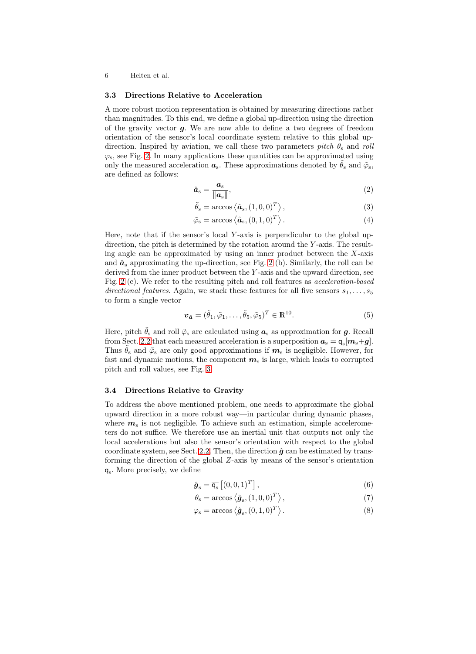#### <span id="page-5-0"></span>3.3 Directions Relative to Acceleration

A more robust motion representation is obtained by measuring directions rather than magnitudes. To this end, we define a global up-direction using the direction of the gravity vector  $g$ . We are now able to define a two degrees of freedom orientation of the sensor's local coordinate system relative to this global updirection. Inspired by aviation, we call these two parameters *pitch*  $\theta_s$  and *roll*  $\varphi$ <sub>s</sub>, see Fig. [2.](#page-3-2) In many applications these quantities can be approximated using only the measured acceleration  $a_s$ . These approximations denoted by  $\tilde{\theta}_s$  and  $\tilde{\varphi}_s$ , are defined as follows:

$$
\hat{\mathbf{a}}_{s} = \frac{\mathbf{a}_{s}}{\|\mathbf{a}_{s}\|},\tag{2}
$$

$$
\tilde{\theta}_{s} = \arccos \left\langle \hat{\boldsymbol{a}}_{s}, (1,0,0)^{T} \right\rangle, \tag{3}
$$

$$
\tilde{\varphi}_{s} = \arccos \left\langle \hat{\boldsymbol{a}}_{s}, (0, 1, 0)^{T} \right\rangle. \tag{4}
$$

Here, note that if the sensor's local Y-axis is perpendicular to the global updirection, the pitch is determined by the rotation around the Y-axis. The resulting angle can be approximated by using an inner product between the  $X$ -axis and  $\hat{a}_{s}$  approximating the up-direction, see Fig. [2](#page-3-2) (b). Similarly, the roll can be derived from the inner product between the  $Y$ -axis and the upward direction, see Fig. [2](#page-3-2) (c). We refer to the resulting pitch and roll features as acceleration-based directional features. Again, we stack these features for all five sensors  $s_1, \ldots, s_5$ to form a single vector

$$
\boldsymbol{v}_{\hat{\boldsymbol{a}}} = (\tilde{\theta}_1, \tilde{\varphi}_1, \dots, \tilde{\theta}_5, \tilde{\varphi}_5)^T \in \mathbb{R}^{10}.
$$
 (5)

Here, pitch  $\theta_s$  and roll  $\tilde{\varphi}_s$  are calculated using  $a_s$  as approximation for g. Recall from Sect. [2.2](#page-2-3) that each measured acceleration is a superposition  $a_s = \overline{\mathsf{q}_s} [m_s + g]$ . Thus  $\theta_s$  and  $\tilde{\varphi}_s$  are only good approximations if  $m_s$  is negligible. However, for fast and dynamic motions, the component  $m_s$  is large, which leads to corrupted pitch and roll values, see Fig. [3](#page-4-1)

#### 3.4 Directions Relative to Gravity

To address the above mentioned problem, one needs to approximate the global upward direction in a more robust way—in particular during dynamic phases, where  $m<sub>s</sub>$  is not negligible. To achieve such an estimation, simple accelerometers do not suffice. We therefore use an inertial unit that outputs not only the local accelerations but also the sensor's orientation with respect to the global coordinate system, see Sect. [2.2.](#page-2-3) Then, the direction  $\hat{g}$  can be estimated by transforming the direction of the global Z-axis by means of the sensor's orientation qs . More precisely, we define

$$
\hat{\mathbf{g}}_{\rm s} = \overline{\mathbf{q}_{\rm s}} \left[ (0, 0, 1)^T \right],\tag{6}
$$

$$
\theta_{\rm s} = \arccos \left\langle \hat{\boldsymbol{g}}_{\rm s}, (1,0,0)^T \right\rangle, \tag{7}
$$

$$
\varphi_{\rm s} = \arccos \left\langle \hat{\boldsymbol{g}}_{\rm s}, (0, 1, 0)^T \right\rangle. \tag{8}
$$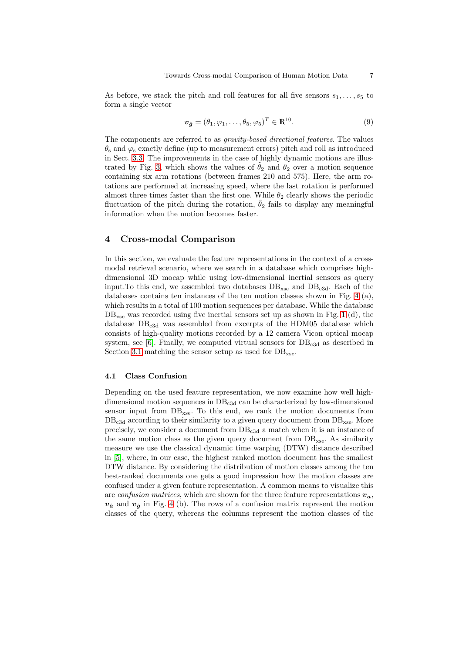As before, we stack the pitch and roll features for all five sensors  $s_1, \ldots, s_5$  to form a single vector

$$
\mathbf{v}_{\hat{\mathbf{g}}} = (\theta_1, \varphi_1, \dots, \theta_5, \varphi_5)^T \in \mathbb{R}^{10}.
$$
 (9)

The components are referred to as gravity-based directional features. The values  $\theta_s$  and  $\varphi_s$  exactly define (up to measurement errors) pitch and roll as introduced in Sect. [3.3.](#page-5-0) The improvements in the case of highly dynamic motions are illus-trated by Fig. [3,](#page-4-1) which shows the values of  $\theta_2$  and  $\theta_2$  over a motion sequence containing six arm rotations (between frames 210 and 575). Here, the arm rotations are performed at increasing speed, where the last rotation is performed almost three times faster than the first one. While  $\theta_2$  clearly shows the periodic fluctuation of the pitch during the rotation,  $\theta_2$  fails to display any meaningful information when the motion becomes faster.

## <span id="page-6-0"></span>4 Cross-modal Comparison

In this section, we evaluate the feature representations in the context of a crossmodal retrieval scenario, where we search in a database which comprises highdimensional 3D mocap while using low-dimensional inertial sensors as query input. To this end, we assembled two databases  $DB_{\text{xse}}$  and  $DB_{\text{c3d}}$ . Each of the databases contains ten instances of the ten motion classes shown in Fig. [4](#page-7-0) (a), which results in a total of 100 motion sequences per database. While the database  $DB<sub>xse</sub>$  was recorded using five inertial sensors set up as shown in Fig. [1](#page-1-0) (d), the database  $DB_{c3d}$  was assembled from excerpts of the HDM05 database which consists of high-quality motions recorded by a 12 camera Vicon optical mocap system, see [\[6\]](#page-9-11). Finally, we computed virtual sensors for  $DB_{c3d}$  as described in Section [3.1](#page-4-0) matching the sensor setup as used for  $DB_{\text{xse}}$ .

### 4.1 Class Confusion

Depending on the used feature representation, we now examine how well highdimensional motion sequences in  $DB_{c3d}$  can be characterized by low-dimensional sensor input from  $DB_{\text{xse}}$ . To this end, we rank the motion documents from  $DB_{c3d}$  according to their similarity to a given query document from  $DB_{\text{xse}}$ . More precisely, we consider a document from  $DB_{c3d}$  a match when it is an instance of the same motion class as the given query document from  $DB_{\text{xse}}$ . As similarity measure we use the classical dynamic time warping (DTW) distance described in [\[5\]](#page-9-12), where, in our case, the highest ranked motion document has the smallest DTW distance. By considering the distribution of motion classes among the ten best-ranked documents one gets a good impression how the motion classes are confused under a given feature representation. A common means to visualize this are confusion matrices, which are shown for the three feature representations  $v_a$ .  $v_{\hat{a}}$  and  $v_{\hat{g}}$  in Fig. [4](#page-7-0) (b). The rows of a confusion matrix represent the motion classes of the query, whereas the columns represent the motion classes of the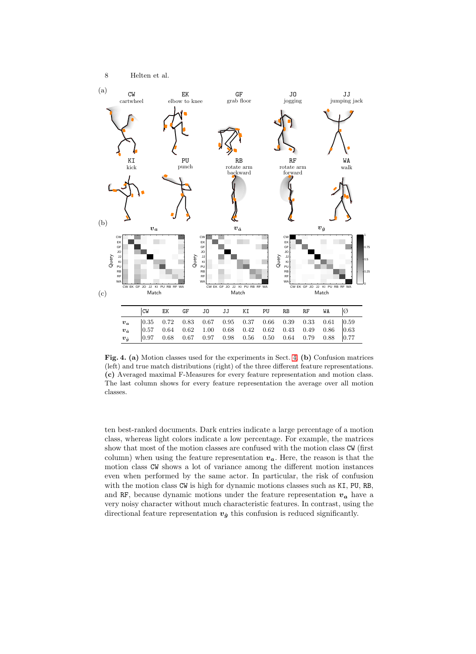

<span id="page-7-0"></span>Fig. 4. (a) Motion classes used for the experiments in Sect. [4.](#page-6-0) (b) Confusion matrices (left) and true match distributions (right) of the three different feature representations. (c) Averaged maximal F-Measures for every feature representation and motion class. The last column shows for every feature representation the average over all motion classes.

ten best-ranked documents. Dark entries indicate a large percentage of a motion class, whereas light colors indicate a low percentage. For example, the matrices show that most of the motion classes are confused with the motion class CW (first column) when using the feature representation  $v_a$ . Here, the reason is that the motion class CW shows a lot of variance among the different motion instances even when performed by the same actor. In particular, the risk of confusion with the motion class  $CW$  is high for dynamic motions classes such as KI, PU, RB, and RF, because dynamic motions under the feature representation  $v_a$  have a very noisy character without much characteristic features. In contrast, using the directional feature representation  $v_{\hat{g}}$  this confusion is reduced significantly.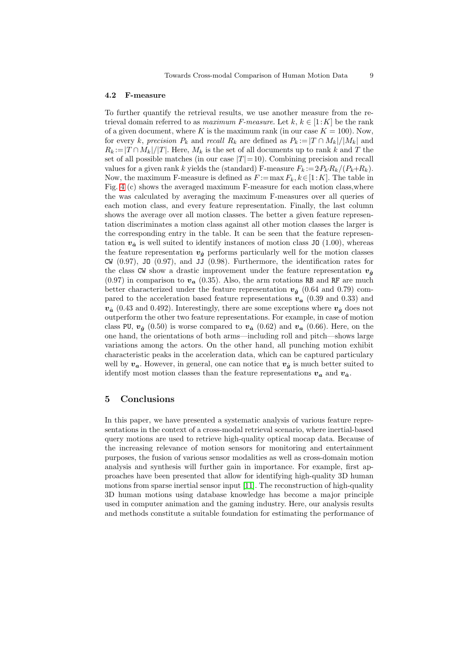#### 4.2 F-measure

To further quantify the retrieval results, we use another measure from the retrieval domain referred to as maximum F-measure. Let k,  $k \in [1:K]$  be the rank of a given document, where K is the maximum rank (in our case  $K = 100$ ). Now, for every k, precision  $P_k$  and recall  $R_k$  are defined as  $P_k := |T \cap M_k|/|M_k|$  and  $R_k := |T \cap M_k|/|T|$ . Here,  $M_k$  is the set of all documents up to rank k and T the set of all possible matches (in our case  $|T|=10$ ). Combining precision and recall values for a given rank k yields the (standard) F-measure  $F_k := 2P_k R_k/(P_k+R_k)$ . Now, the maximum F-measure is defined as  $F := \max F_k, k \in [1:K]$ . The table in Fig. [4](#page-7-0) (c) shows the averaged maximum F-measure for each motion class,where the was calculated by averaging the maximum F-measures over all queries of each motion class, and every feature representation. Finally, the last column shows the average over all motion classes. The better a given feature representation discriminates a motion class against all other motion classes the larger is the corresponding entry in the table. It can be seen that the feature representation  $v_{\hat{a}}$  is well suited to identify instances of motion class JO (1.00), whereas the feature representation  $v_{\hat{q}}$  performs particularly well for the motion classes  $CW$   $(0.97)$ , JO  $(0.97)$ , and JJ  $(0.98)$ . Furthermore, the identification rates for the class CW show a drastic improvement under the feature representation  $v_{\hat{q}}$  $(0.97)$  in comparison to  $v_a$  (0.35). Also, the arm rotations RB and RF are much better characterized under the feature representation  $v_{\hat{a}}$  (0.64 and 0.79) compared to the acceleration based feature representations  $v_a$  (0.39 and 0.33) and  $v_{\hat{a}}$  (0.43 and 0.492). Interestingly, there are some exceptions where  $v_{\hat{q}}$  does not outperform the other two feature representations. For example, in case of motion class PU,  $v_{\hat{g}}(0.50)$  is worse compared to  $v_{\hat{a}}(0.62)$  and  $v_{a}(0.66)$ . Here, on the one hand, the orientations of both arms—including roll and pitch—shows large variations among the actors. On the other hand, all punching motion exhibit characteristic peaks in the acceleration data, which can be captured particulary well by  $v_a$ . However, in general, one can notice that  $v_{\hat{g}}$  is much better suited to identify most motion classes than the feature representations  $v_a$  and  $v_{\hat{a}}$ .

## <span id="page-8-0"></span>5 Conclusions

In this paper, we have presented a systematic analysis of various feature representations in the context of a cross-modal retrieval scenario, where inertial-based query motions are used to retrieve high-quality optical mocap data. Because of the increasing relevance of motion sensors for monitoring and entertainment purposes, the fusion of various sensor modalities as well as cross-domain motion analysis and synthesis will further gain in importance. For example, first approaches have been presented that allow for identifying high-quality 3D human motions from sparse inertial sensor input [\[11\]](#page-9-7). The reconstruction of high-quality 3D human motions using database knowledge has become a major principle used in computer animation and the gaming industry. Here, our analysis results and methods constitute a suitable foundation for estimating the performance of